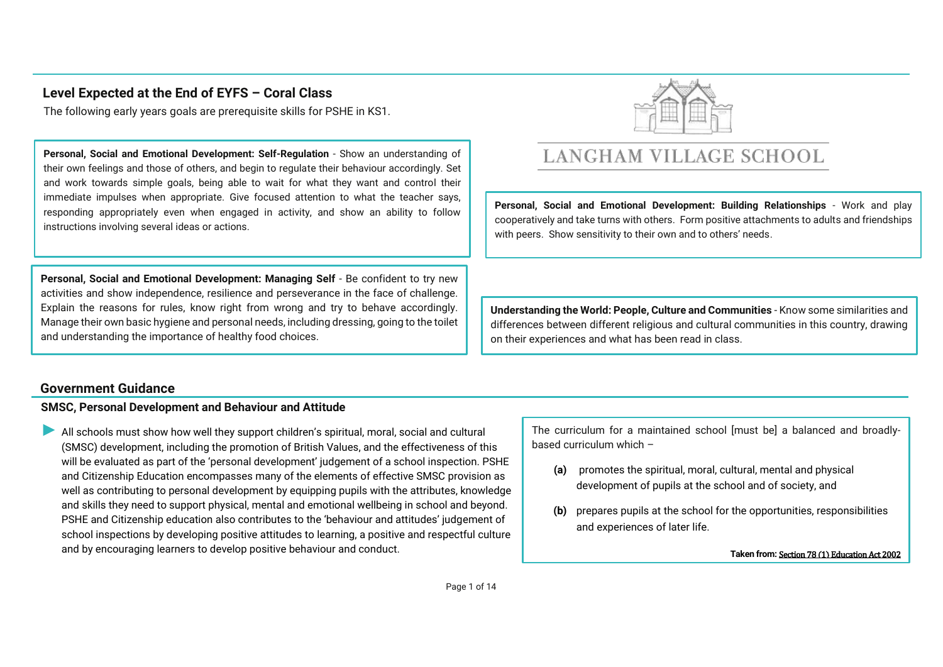## **Level Expected at the End of EYFS – Coral Class**

The following early years goals are prerequisite skills for PSHE in KS1.

**Personal, Social and Emotional Development: Self-Regulation** - Show an understanding of their own feelings and those of others, and begin to regulate their behaviour accordingly. Set and work towards simple goals, being able to wait for what they want and control their immediate impulses when appropriate. Give focused attention to what the teacher says, responding appropriately even when engaged in activity, and show an ability to follow instructions involving several ideas or actions.

**Personal, Social and Emotional Development: Managing Self** - Be confident to try new activities and show independence, resilience and perseverance in the face of challenge. Explain the reasons for rules, know right from wrong and try to behave accordingly. Manage their own basic hygiene and personal needs, including dressing, going to the toilet and understanding the importance of healthy food choices.



# **LANGHAM VILLAGE SCHOOL**

**Personal, Social and Emotional Development: Building Relationships** - Work and play cooperatively and take turns with others. Form positive attachments to adults and friendships with peers. Show sensitivity to their own and to others' needs.

**Understanding the World: People, Culture and Communities** - Know some similarities and differences between different religious and cultural communities in this country, drawing on their experiences and what has been read in class.

### **Government Guidance**

### **SMSC, Personal Development and Behaviour and Attitude**

All schools must show how well they support children's spiritual, moral, social and cultural (SMSC) development, including the promotion of British Values, and the effectiveness of this will be evaluated as part of the 'personal development' judgement of a school inspection. PSHE and Citizenship Education encompasses many of the elements of effective SMSC provision as well as contributing to personal development by equipping pupils with the attributes, knowledge and skills they need to support physical, mental and emotional wellbeing in school and beyond. PSHE and Citizenship education also contributes to the 'behaviour and attitudes' judgement of school inspections by developing positive attitudes to learning, a positive and respectful culture and by encouraging learners to develop positive behaviour and conduct.

The curriculum for a maintained school [must be] a balanced and broadlybased curriculum which –

- **(a)** promotes the spiritual, moral, cultural, mental and physical development of pupils at the school and of society, and
- **(b)** prepares pupils at the school for the opportunities, responsibilities and experiences of later life.

**Taken from:** Section 78 (1) Education Act 2002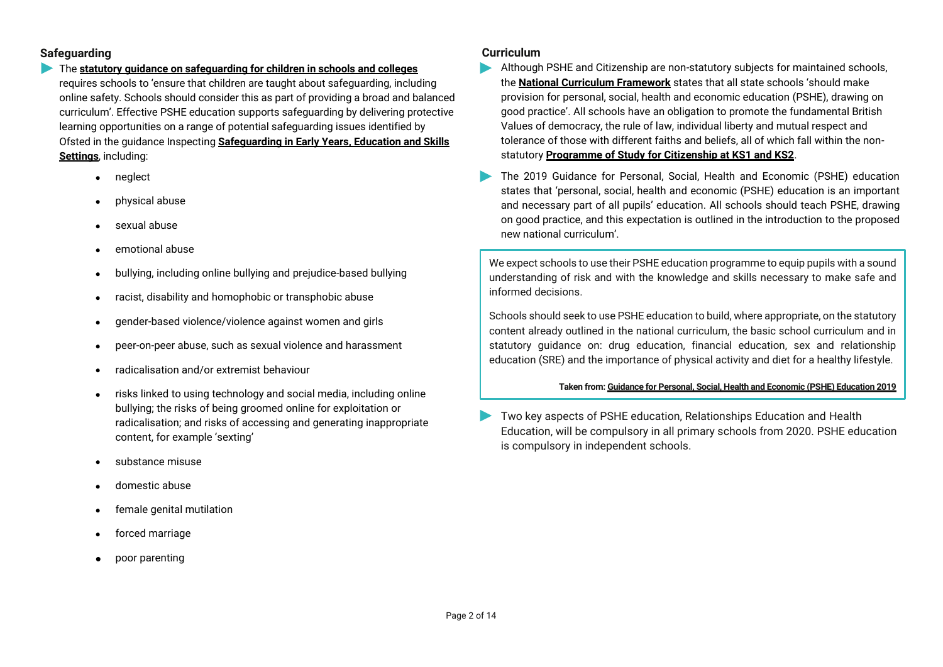### **Safeguarding**

- The **statutory guidance on safeguarding for children in schools and colleges** requires schools to 'ensure that children are taught about safeguarding, including online safety. Schools should consider this as part of providing a broad and balanced curriculum'. Effective PSHE education supports safeguarding by delivering protective learning opportunities on a range of potential safeguarding issues identified by Ofsted in the guidance Inspecting **Safeguarding in Early Years, Education and Skills Settings**, including:
	- neglect
	- physical abuse
	- sexual abuse
	- emotional abuse
	- bullying, including online bullying and prejudice-based bullying
	- racist, disability and homophobic or transphobic abuse
	- gender-based violence/violence against women and girls
	- peer-on-peer abuse, such as sexual violence and harassment
	- radicalisation and/or extremist behaviour
	- risks linked to using technology and social media, including online bullying; the risks of being groomed online for exploitation or radicalisation; and risks of accessing and generating inappropriate content, for example 'sexting'
	- substance misuse
	- domestic abuse
	- female genital mutilation
	- forced marriage
	- poor parenting

### **Curriculum**

- Although PSHE and Citizenship are non-statutory subjects for maintained schools, the **National Curriculum Framework** states that all state schools 'should make provision for personal, social, health and economic education (PSHE), drawing on good practice'. All schools have an obligation to promote the fundamental British Values of democracy, the rule of law, individual liberty and mutual respect and tolerance of those with different faiths and beliefs, all of which fall within the nonstatutory **Programme of Study for Citizenship at KS1 and KS2**.
- The 2019 Guidance for Personal, Social, Health and Economic (PSHE) education  $\blacktriangleright$ states that 'personal, social, health and economic (PSHE) education is an important and necessary part of all pupils' education. All schools should teach PSHE, drawing on good practice, and this expectation is outlined in the introduction to the proposed new national curriculum'.

We expect schools to use their PSHE education programme to equip pupils with a sound understanding of risk and with the knowledge and skills necessary to make safe and informed decisions.

Schools should seek to use PSHE education to build, where appropriate, on the statutory content already outlined in the national curriculum, the basic school curriculum and in statutory guidance on: drug education, financial education, sex and relationship education (SRE) and the importance of physical activity and diet for a healthy lifestyle.

### **Taken from: Guidance for Personal, Social, Health and Economic (PSHE) Education 2019**

Two key aspects of PSHE education, Relationships Education and Health Education, will be compulsory in all primary schools from 2020. PSHE education is compulsory in independent schools.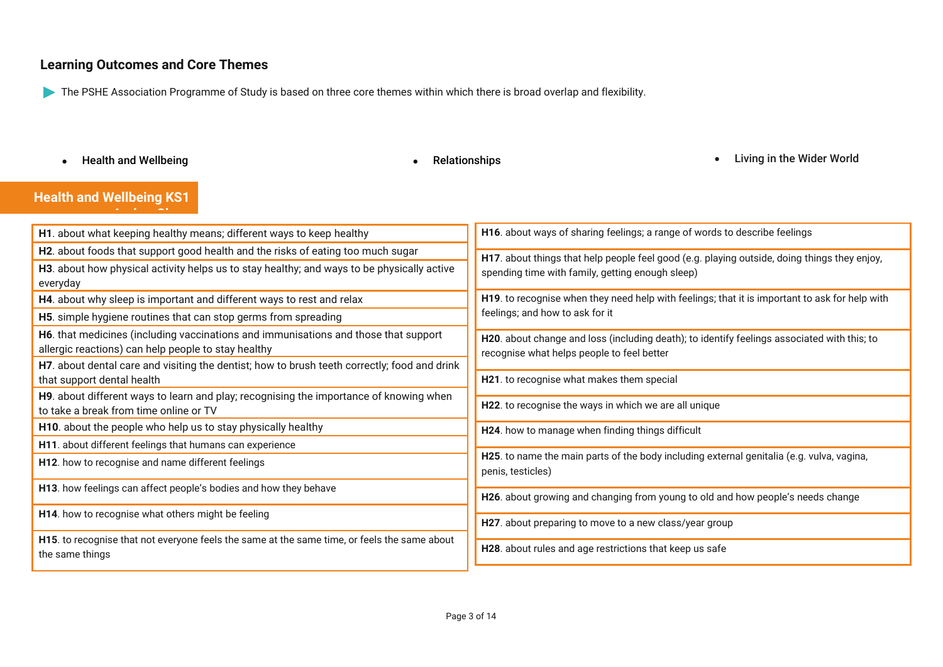## **Learning Outcomes and Core Themes**

The PSHE Association Programme of Study is based on three core themes within which there is broad overlap and flexibility.

• Health and Wellbeing **South Accord Contract Contract Contract Contract Contract Contract Contract Contract Contract Contract Contract Contract Contract Contract Contract Contract Contract Contract Contract Contract Contr** 

## **Health and Wellbeing KS1**

| H1. about what keeping healthy means; different ways to keep healthy                                                                       | H16. about ways of sharing feelings; a range of words to describe feelings                                                                       |
|--------------------------------------------------------------------------------------------------------------------------------------------|--------------------------------------------------------------------------------------------------------------------------------------------------|
| H2. about foods that support good health and the risks of eating too much sugar                                                            | H17. about things that help people feel good (e.g. playing outside, doing things they enjoy,<br>spending time with family, getting enough sleep) |
| H3. about how physical activity helps us to stay healthy; and ways to be physically active<br>everyday                                     |                                                                                                                                                  |
| H4. about why sleep is important and different ways to rest and relax                                                                      | H19. to recognise when they need help with feelings; that it is important to ask for help with<br>feelings; and how to ask for it                |
| H5. simple hygiene routines that can stop germs from spreading                                                                             |                                                                                                                                                  |
| H6. that medicines (including vaccinations and immunisations and those that support<br>allergic reactions) can help people to stay healthy | H20. about change and loss (including death); to identify feelings associated with this; to<br>recognise what helps people to feel better        |
| H7. about dental care and visiting the dentist; how to brush teeth correctly; food and drink<br>that support dental health                 | H21. to recognise what makes them special                                                                                                        |
| H9. about different ways to learn and play; recognising the importance of knowing when<br>to take a break from time online or TV           | H22. to recognise the ways in which we are all unique                                                                                            |
| H10. about the people who help us to stay physically healthy                                                                               | H24. how to manage when finding things difficult                                                                                                 |
| H11. about different feelings that humans can experience                                                                                   |                                                                                                                                                  |
| H12. how to recognise and name different feelings                                                                                          | H25. to name the main parts of the body including external genitalia (e.g. vulva, vagina,<br>penis, testicles)                                   |
| H13. how feelings can affect people's bodies and how they behave                                                                           | H26. about growing and changing from young to old and how people's needs change                                                                  |
| H14. how to recognise what others might be feeling                                                                                         | H27. about preparing to move to a new class/year group                                                                                           |
| H15. to recognise that not everyone feels the same at the same time, or feels the same about<br>the same things                            | H28. about rules and age restrictions that keep us safe                                                                                          |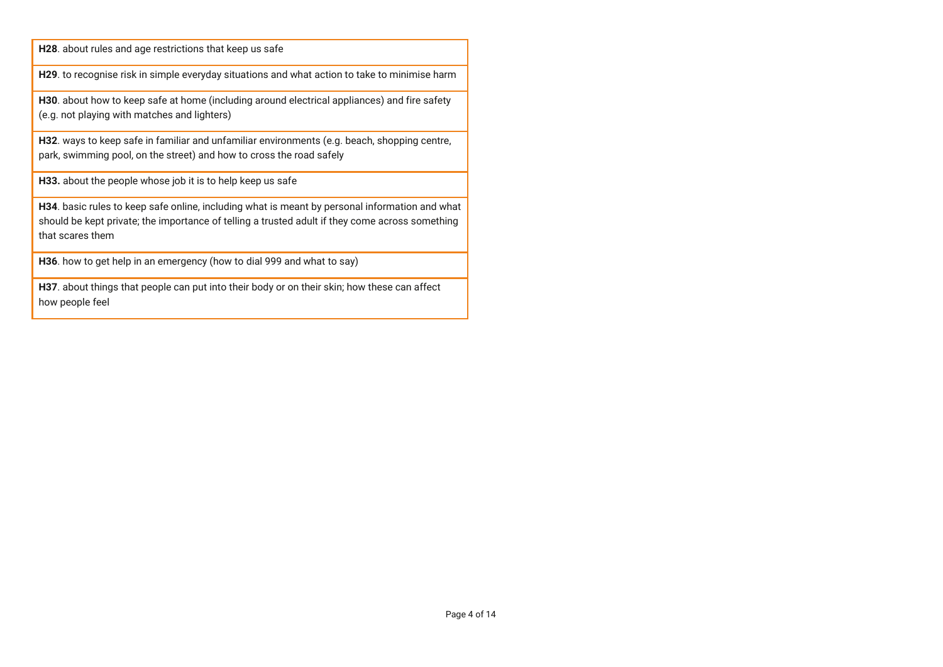**H28**. about rules and age restrictions that keep us safe

**H29**. to recognise risk in simple everyday situations and what action to take to minimise harm

**H30**. about how to keep safe at home (including around electrical appliances) and fire safety (e.g. not playing with matches and lighters)

**H32**. ways to keep safe in familiar and unfamiliar environments (e.g. beach, shopping centre, park, swimming pool, on the street) and how to cross the road safely

**H33.** about the people whose job it is to help keep us safe

**H34**. basic rules to keep safe online, including what is meant by personal information and what should be kept private; the importance of telling a trusted adult if they come across something that scares them

**H36**. how to get help in an emergency (how to dial 999 and what to say)

**H37**. about things that people can put into their body or on their skin; how these can affect how people feel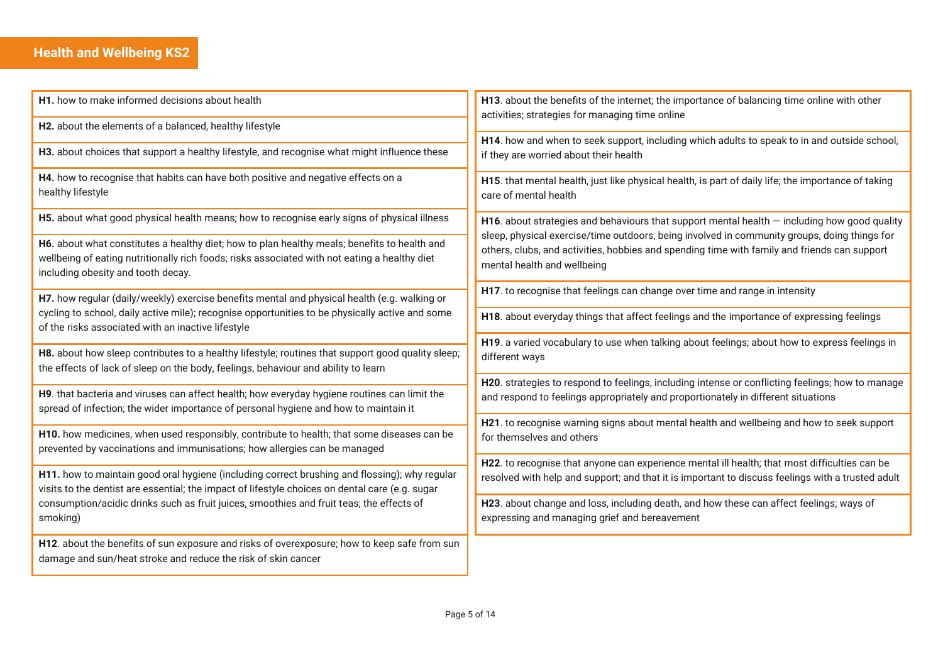# **Health and Wellbeing KS2**

| H1. how to make informed decisions about health                                                                                                                                                                                                                                                          | H13. about the benefits of the internet; the importance of balancing time online with other<br>activities; strategies for managing time online                                                                              |
|----------------------------------------------------------------------------------------------------------------------------------------------------------------------------------------------------------------------------------------------------------------------------------------------------------|-----------------------------------------------------------------------------------------------------------------------------------------------------------------------------------------------------------------------------|
| H2. about the elements of a balanced, healthy lifestyle                                                                                                                                                                                                                                                  |                                                                                                                                                                                                                             |
| H3. about choices that support a healthy lifestyle, and recognise what might influence these                                                                                                                                                                                                             | H14. how and when to seek support, including which adults to speak to in and outside school,<br>if they are worried about their health                                                                                      |
| H4. how to recognise that habits can have both positive and negative effects on a<br>healthy lifestyle                                                                                                                                                                                                   | H15. that mental health, just like physical health, is part of daily life; the importance of taking<br>care of mental health                                                                                                |
| H5. about what good physical health means; how to recognise early signs of physical illness                                                                                                                                                                                                              | H16. about strategies and behaviours that support mental health $-$ including how good quality                                                                                                                              |
| H6. about what constitutes a healthy diet; how to plan healthy meals; benefits to health and<br>wellbeing of eating nutritionally rich foods; risks associated with not eating a healthy diet<br>including obesity and tooth decay.                                                                      | sleep, physical exercise/time outdoors, being involved in community groups, doing things for<br>others, clubs, and activities, hobbies and spending time with family and friends can support<br>mental health and wellbeing |
| H7. how regular (daily/weekly) exercise benefits mental and physical health (e.g. walking or<br>cycling to school, daily active mile); recognise opportunities to be physically active and some<br>of the risks associated with an inactive lifestyle                                                    | H17. to recognise that feelings can change over time and range in intensity                                                                                                                                                 |
|                                                                                                                                                                                                                                                                                                          | H18. about everyday things that affect feelings and the importance of expressing feelings                                                                                                                                   |
| H8. about how sleep contributes to a healthy lifestyle; routines that support good quality sleep;<br>the effects of lack of sleep on the body, feelings, behaviour and ability to learn                                                                                                                  | H19. a varied vocabulary to use when talking about feelings; about how to express feelings in<br>different ways                                                                                                             |
| H9. that bacteria and viruses can affect health; how everyday hygiene routines can limit the<br>spread of infection; the wider importance of personal hygiene and how to maintain it                                                                                                                     | H20. strategies to respond to feelings, including intense or conflicting feelings; how to manage<br>and respond to feelings appropriately and proportionately in different situations                                       |
| H10. how medicines, when used responsibly, contribute to health; that some diseases can be<br>prevented by vaccinations and immunisations; how allergies can be managed                                                                                                                                  | H21. to recognise warning signs about mental health and wellbeing and how to seek support<br>for themselves and others                                                                                                      |
| H11. how to maintain good oral hygiene (including correct brushing and flossing); why regular<br>visits to the dentist are essential; the impact of lifestyle choices on dental care (e.g. sugar<br>consumption/acidic drinks such as fruit juices, smoothies and fruit teas; the effects of<br>smoking) | H22. to recognise that anyone can experience mental ill health; that most difficulties can be<br>resolved with help and support; and that it is important to discuss feelings with a trusted adult                          |
|                                                                                                                                                                                                                                                                                                          | H23. about change and loss, including death, and how these can affect feelings; ways of<br>expressing and managing grief and bereavement                                                                                    |
| H12. about the benefits of sun exposure and risks of overexposure; how to keep safe from sun<br>damage and sun/heat stroke and reduce the risk of skin cancer                                                                                                                                            |                                                                                                                                                                                                                             |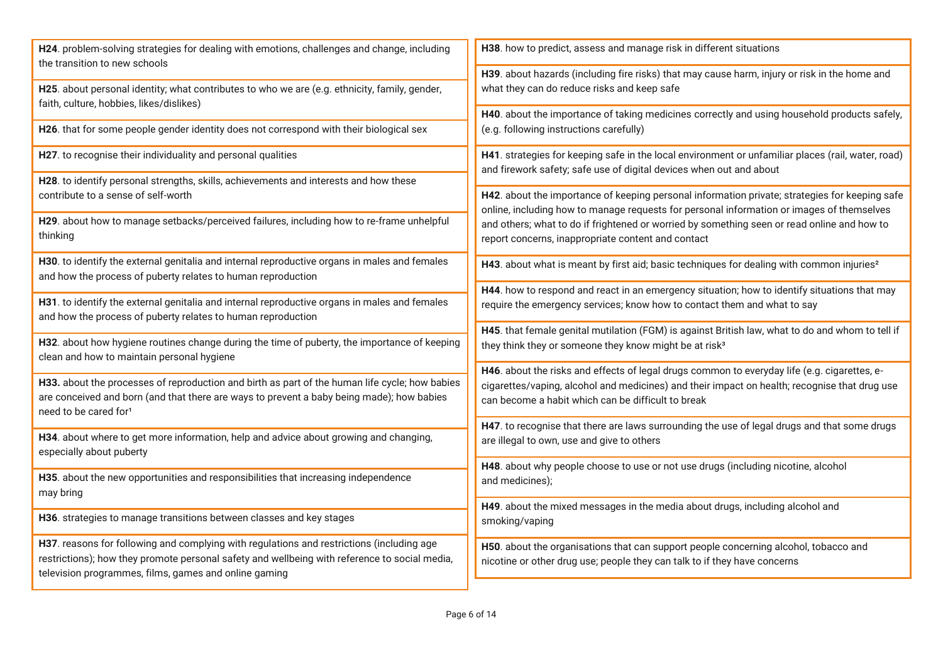| H24. problem-solving strategies for dealing with emotions, challenges and change, including<br>the transition to new schools                                  | H38. how to predict, assess and manage risk in different situations                                                                                                                         |
|---------------------------------------------------------------------------------------------------------------------------------------------------------------|---------------------------------------------------------------------------------------------------------------------------------------------------------------------------------------------|
|                                                                                                                                                               | H39. about hazards (including fire risks) that may cause harm, injury or risk in the home and                                                                                               |
| H25. about personal identity; what contributes to who we are (e.g. ethnicity, family, gender,<br>faith, culture, hobbies, likes/dislikes)                     | what they can do reduce risks and keep safe                                                                                                                                                 |
|                                                                                                                                                               | H40. about the importance of taking medicines correctly and using household products safely,                                                                                                |
| H26. that for some people gender identity does not correspond with their biological sex                                                                       | (e.g. following instructions carefully)                                                                                                                                                     |
| H27. to recognise their individuality and personal qualities                                                                                                  | H41. strategies for keeping safe in the local environment or unfamiliar places (rail, water, road)<br>and firework safety; safe use of digital devices when out and about                   |
| H28. to identify personal strengths, skills, achievements and interests and how these                                                                         |                                                                                                                                                                                             |
| contribute to a sense of self-worth                                                                                                                           | H42. about the importance of keeping personal information private; strategies for keeping safe<br>online, including how to manage requests for personal information or images of themselves |
| H29. about how to manage setbacks/perceived failures, including how to re-frame unhelpful                                                                     | and others; what to do if frightened or worried by something seen or read online and how to                                                                                                 |
| thinking                                                                                                                                                      | report concerns, inappropriate content and contact                                                                                                                                          |
| H30. to identify the external genitalia and internal reproductive organs in males and females<br>and how the process of puberty relates to human reproduction | H43. about what is meant by first aid; basic techniques for dealing with common injuries <sup>2</sup>                                                                                       |
|                                                                                                                                                               | H44. how to respond and react in an emergency situation; how to identify situations that may                                                                                                |
| H31. to identify the external genitalia and internal reproductive organs in males and females<br>and how the process of puberty relates to human reproduction | require the emergency services; know how to contact them and what to say                                                                                                                    |
|                                                                                                                                                               | H45. that female genital mutilation (FGM) is against British law, what to do and whom to tell if                                                                                            |
| H32. about how hygiene routines change during the time of puberty, the importance of keeping<br>clean and how to maintain personal hygiene                    | they think they or someone they know might be at risk <sup>3</sup>                                                                                                                          |
|                                                                                                                                                               | H46. about the risks and effects of legal drugs common to everyday life (e.g. cigarettes, e-                                                                                                |
| H33. about the processes of reproduction and birth as part of the human life cycle; how babies                                                                | cigarettes/vaping, alcohol and medicines) and their impact on health; recognise that drug use                                                                                               |
| are conceived and born (and that there are ways to prevent a baby being made); how babies                                                                     | can become a habit which can be difficult to break                                                                                                                                          |
| need to be cared for <sup>1</sup>                                                                                                                             | H47. to recognise that there are laws surrounding the use of legal drugs and that some drugs                                                                                                |
| H34. about where to get more information, help and advice about growing and changing,                                                                         | are illegal to own, use and give to others                                                                                                                                                  |
| especially about puberty                                                                                                                                      |                                                                                                                                                                                             |
|                                                                                                                                                               | H48. about why people choose to use or not use drugs (including nicotine, alcohol                                                                                                           |
| H35. about the new opportunities and responsibilities that increasing independence                                                                            | and medicines);                                                                                                                                                                             |
| may bring                                                                                                                                                     | H49. about the mixed messages in the media about drugs, including alcohol and                                                                                                               |
| H36. strategies to manage transitions between classes and key stages                                                                                          | smoking/vaping                                                                                                                                                                              |
| H37. reasons for following and complying with regulations and restrictions (including age                                                                     | H50. about the organisations that can support people concerning alcohol, tobacco and                                                                                                        |
| restrictions); how they promote personal safety and wellbeing with reference to social media,                                                                 | nicotine or other drug use; people they can talk to if they have concerns                                                                                                                   |
| television programmes, films, games and online gaming                                                                                                         |                                                                                                                                                                                             |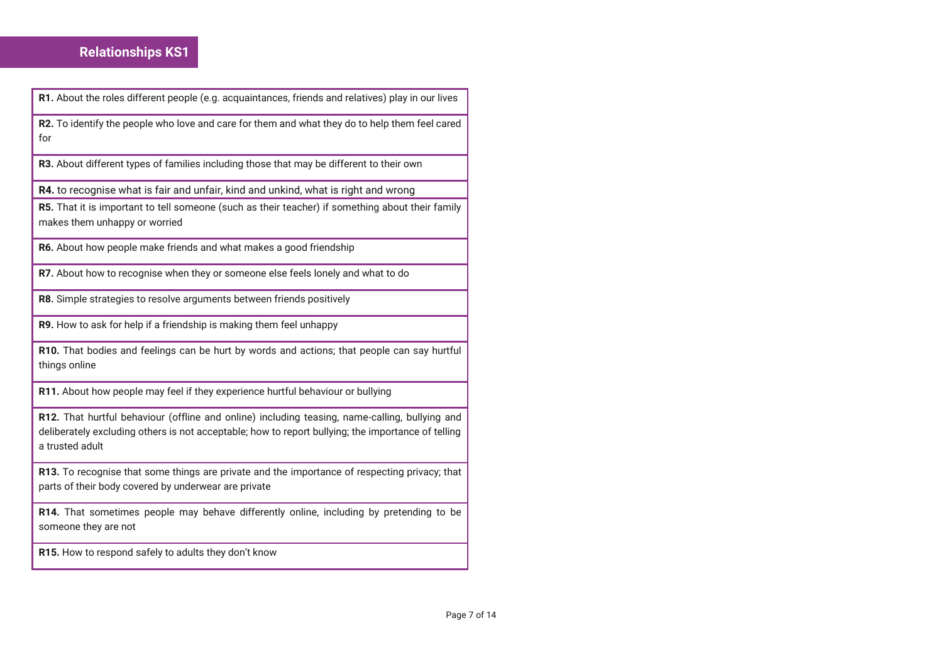## **Relationships KS1**

**R1.** About the roles different people (e.g. acquaintances, friends and relatives) play in our lives

**R2.** To identify the people who love and care for them and what they do to help them feel cared for

**R3.** About different types of families including those that may be different to their own

**R4.** to recognise what is fair and unfair, kind and unkind, what is right and wrong

**R5.** That it is important to tell someone (such as their teacher) if something about their family makes them unhappy or worried

**R6.** About how people make friends and what makes a good friendship

**R7.** About how to recognise when they or someone else feels lonely and what to do

**R8.** Simple strategies to resolve arguments between friends positively

**R9.** How to ask for help if a friendship is making them feel unhappy

**R10.** That bodies and feelings can be hurt by words and actions; that people can say hurtful things online

**R11.** About how people may feel if they experience hurtful behaviour or bullying

**R12.** That hurtful behaviour (offline and online) including teasing, name-calling, bullying and deliberately excluding others is not acceptable; how to report bullying; the importance of telling a trusted adult

**R13.** To recognise that some things are private and the importance of respecting privacy; that parts of their body covered by underwear are private

**R14.** That sometimes people may behave differently online, including by pretending to be someone they are not

**R15.** How to respond safely to adults they don't know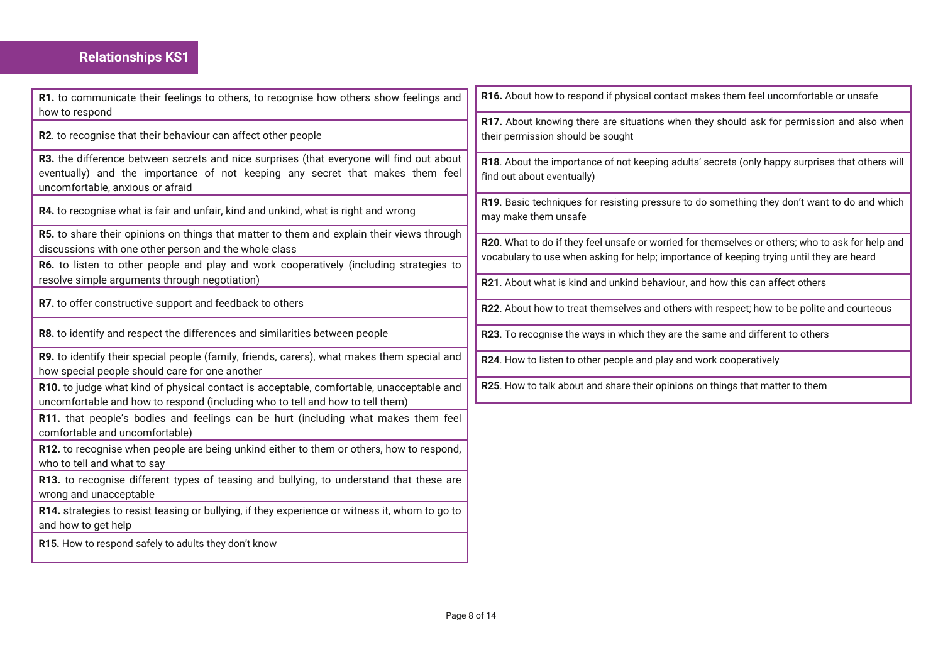## **Relationships KS1**

| R1. to communicate their feelings to others, to recognise how others show feelings and<br>how to respond                                                                                                      | R16. About how to respond if physical contact makes them feel uncomfortable or unsafe                                                                                                         |
|---------------------------------------------------------------------------------------------------------------------------------------------------------------------------------------------------------------|-----------------------------------------------------------------------------------------------------------------------------------------------------------------------------------------------|
| R2. to recognise that their behaviour can affect other people                                                                                                                                                 | R17. About knowing there are situations when they should ask for permission and also when<br>their permission should be sought                                                                |
| R3. the difference between secrets and nice surprises (that everyone will find out about<br>eventually) and the importance of not keeping any secret that makes them feel<br>uncomfortable, anxious or afraid | R18. About the importance of not keeping adults' secrets (only happy surprises that others will<br>find out about eventually)                                                                 |
| R4. to recognise what is fair and unfair, kind and unkind, what is right and wrong                                                                                                                            | R19. Basic techniques for resisting pressure to do something they don't want to do and which<br>may make them unsafe                                                                          |
| R5. to share their opinions on things that matter to them and explain their views through<br>discussions with one other person and the whole class                                                            | R20. What to do if they feel unsafe or worried for themselves or others; who to ask for help and<br>vocabulary to use when asking for help; importance of keeping trying until they are heard |
| R6. to listen to other people and play and work cooperatively (including strategies to                                                                                                                        |                                                                                                                                                                                               |
| resolve simple arguments through negotiation)                                                                                                                                                                 | R21. About what is kind and unkind behaviour, and how this can affect others                                                                                                                  |
| R7. to offer constructive support and feedback to others                                                                                                                                                      | R22. About how to treat themselves and others with respect; how to be polite and courteous                                                                                                    |
| R8. to identify and respect the differences and similarities between people                                                                                                                                   | R23. To recognise the ways in which they are the same and different to others                                                                                                                 |
| R9. to identify their special people (family, friends, carers), what makes them special and<br>how special people should care for one another                                                                 | R24. How to listen to other people and play and work cooperatively                                                                                                                            |
| R10. to judge what kind of physical contact is acceptable, comfortable, unacceptable and<br>uncomfortable and how to respond (including who to tell and how to tell them)                                     | R25. How to talk about and share their opinions on things that matter to them                                                                                                                 |
| R11. that people's bodies and feelings can be hurt (including what makes them feel<br>comfortable and uncomfortable)                                                                                          |                                                                                                                                                                                               |
| R12. to recognise when people are being unkind either to them or others, how to respond,<br>who to tell and what to say                                                                                       |                                                                                                                                                                                               |
| R13. to recognise different types of teasing and bullying, to understand that these are<br>wrong and unacceptable                                                                                             |                                                                                                                                                                                               |
| R14. strategies to resist teasing or bullying, if they experience or witness it, whom to go to<br>and how to get help                                                                                         |                                                                                                                                                                                               |
| R15. How to respond safely to adults they don't know                                                                                                                                                          |                                                                                                                                                                                               |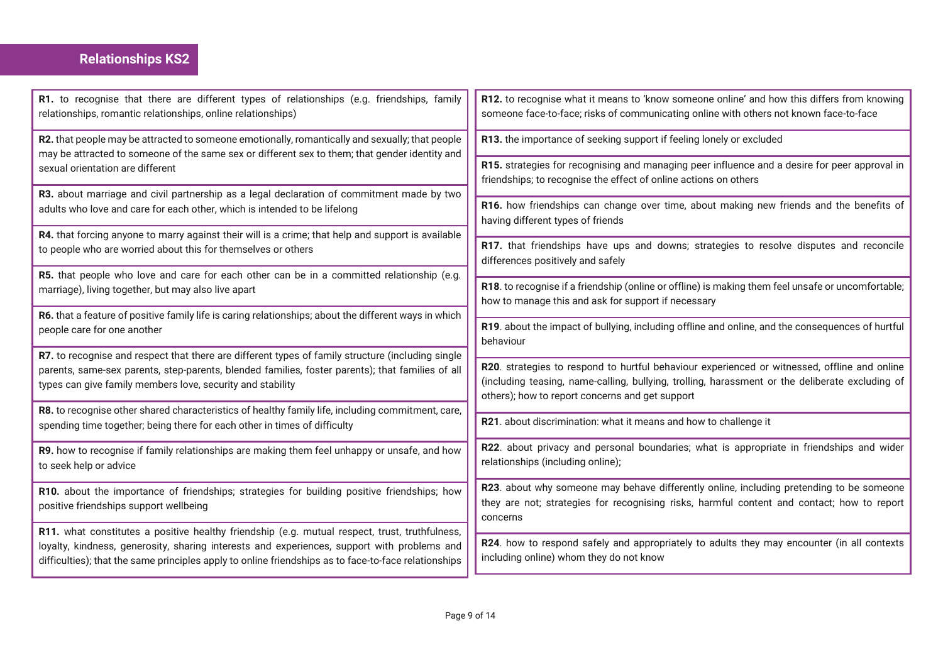# **Relationships KS2**

| R1. to recognise that there are different types of relationships (e.g. friendships, family<br>relationships, romantic relationships, online relationships)                                                                            | R12. to recognise what it means to 'know someone online' and how this differs from knowing<br>someone face-to-face; risks of communicating online with others not known face-to-face               |
|---------------------------------------------------------------------------------------------------------------------------------------------------------------------------------------------------------------------------------------|----------------------------------------------------------------------------------------------------------------------------------------------------------------------------------------------------|
| R2. that people may be attracted to someone emotionally, romantically and sexually; that people<br>may be attracted to someone of the same sex or different sex to them; that gender identity and<br>sexual orientation are different | R13. the importance of seeking support if feeling lonely or excluded                                                                                                                               |
|                                                                                                                                                                                                                                       | R15. strategies for recognising and managing peer influence and a desire for peer approval in<br>friendships; to recognise the effect of online actions on others                                  |
| R3. about marriage and civil partnership as a legal declaration of commitment made by two<br>adults who love and care for each other, which is intended to be lifelong                                                                | R16. how friendships can change over time, about making new friends and the benefits of<br>having different types of friends                                                                       |
| R4. that forcing anyone to marry against their will is a crime; that help and support is available<br>to people who are worried about this for themselves or others                                                                   | R17. that friendships have ups and downs; strategies to resolve disputes and reconcile                                                                                                             |
| R5. that people who love and care for each other can be in a committed relationship (e.g.                                                                                                                                             | differences positively and safely                                                                                                                                                                  |
| marriage), living together, but may also live apart                                                                                                                                                                                   | R18. to recognise if a friendship (online or offline) is making them feel unsafe or uncomfortable;<br>how to manage this and ask for support if necessary                                          |
| R6. that a feature of positive family life is caring relationships; about the different ways in which<br>people care for one another                                                                                                  | R19. about the impact of bullying, including offline and online, and the consequences of hurtful<br>behaviour                                                                                      |
| R7. to recognise and respect that there are different types of family structure (including single<br>parents, same-sex parents, step-parents, blended families, foster parents); that families of all                                 | R20. strategies to respond to hurtful behaviour experienced or witnessed, offline and online                                                                                                       |
| types can give family members love, security and stability                                                                                                                                                                            | (including teasing, name-calling, bullying, trolling, harassment or the deliberate excluding of<br>others); how to report concerns and get support                                                 |
| R8. to recognise other shared characteristics of healthy family life, including commitment, care,<br>spending time together; being there for each other in times of difficulty                                                        | R21. about discrimination: what it means and how to challenge it                                                                                                                                   |
| R9. how to recognise if family relationships are making them feel unhappy or unsafe, and how<br>to seek help or advice                                                                                                                | R22. about privacy and personal boundaries; what is appropriate in friendships and wider<br>relationships (including online);                                                                      |
| R10. about the importance of friendships; strategies for building positive friendships; how<br>positive friendships support wellbeing                                                                                                 | R23. about why someone may behave differently online, including pretending to be someone<br>they are not; strategies for recognising risks, harmful content and contact; how to report<br>concerns |
| R11. what constitutes a positive healthy friendship (e.g. mutual respect, trust, truthfulness,<br>loyalty, kindness, generosity, sharing interests and experiences, support with problems and                                         | R24. how to respond safely and appropriately to adults they may encounter (in all contexts                                                                                                         |
| difficulties); that the same principles apply to online friendships as to face-to-face relationships                                                                                                                                  | including online) whom they do not know                                                                                                                                                            |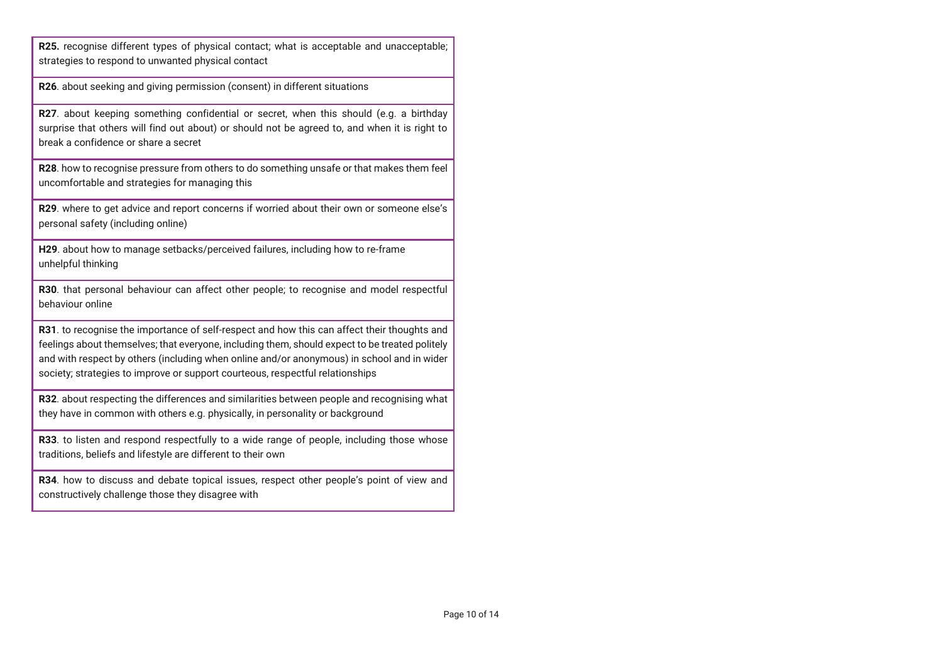**R25.** recognise different types of physical contact; what is acceptable and unacceptable; strategies to respond to unwanted physical contact

**R26**. about seeking and giving permission (consent) in different situations

**R27**. about keeping something confidential or secret, when this should (e.g. a birthday surprise that others will find out about) or should not be agreed to, and when it is right to break a confidence or share a secret

**R28**. how to recognise pressure from others to do something unsafe or that makes them feel uncomfortable and strategies for managing this

**R29**. where to get advice and report concerns if worried about their own or someone else's personal safety (including online)

**H29**. about how to manage setbacks/perceived failures, including how to re-frame unhelpful thinking

**R30**. that personal behaviour can affect other people; to recognise and model respectful behaviour online

**R31**. to recognise the importance of self-respect and how this can affect their thoughts and feelings about themselves; that everyone, including them, should expect to be treated politely and with respect by others (including when online and/or anonymous) in school and in wider society; strategies to improve or support courteous, respectful relationships

**R32**. about respecting the differences and similarities between people and recognising what they have in common with others e.g. physically, in personality or background

**R33**. to listen and respond respectfully to a wide range of people, including those whose traditions, beliefs and lifestyle are different to their own

**R34**. how to discuss and debate topical issues, respect other people's point of view and constructively challenge those they disagree with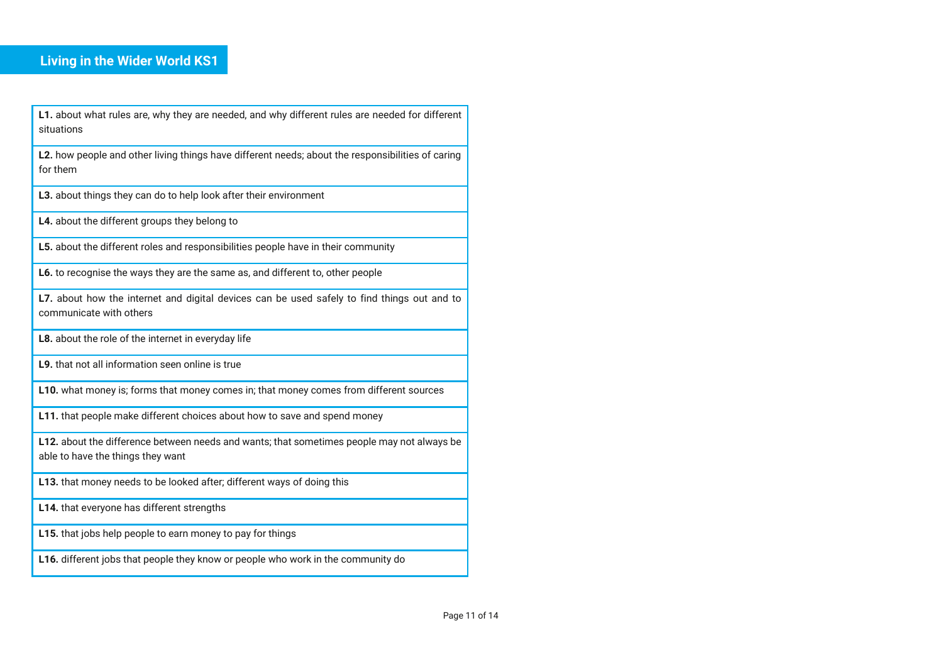## **Living in the Wider World KS1**

**L1.** about what rules are, why they are needed, and why different rules are needed for different situations

**L2.** how people and other living things have different needs; about the responsibilities of caring for them

**L3.** about things they can do to help look after their environment

**L4.** about the different groups they belong to

**L5.** about the different roles and responsibilities people have in their community

**L6.** to recognise the ways they are the same as, and different to, other people

L7. about how the internet and digital devices can be used safely to find things out and to communicate with others

**L8.** about the role of the internet in everyday life

**L9.** that not all information seen online is true

**L10.** what money is; forms that money comes in; that money comes from different sources

**L11.** that people make different choices about how to save and spend money

**L12.** about the difference between needs and wants; that sometimes people may not always be able to have the things they want

**L13.** that money needs to be looked after; different ways of doing this

**L14.** that everyone has different strengths

**L15.** that jobs help people to earn money to pay for things

**L16.** different jobs that people they know or people who work in the community do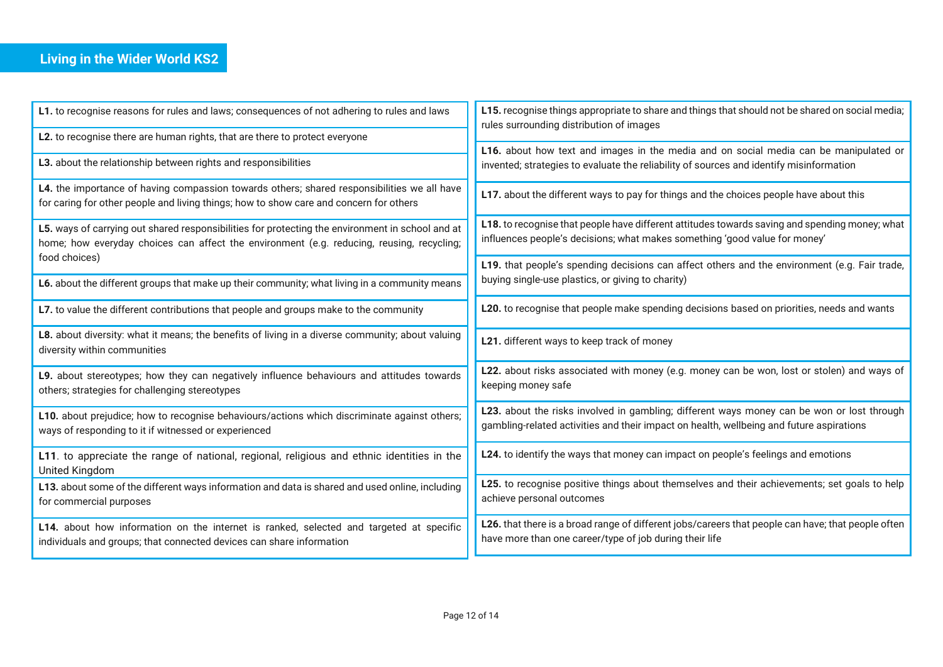# **Living in the Wider World KS2**

| L1. to recognise reasons for rules and laws; consequences of not adhering to rules and laws                                                                                                   | L15. recognise things appropriate to share and things that should not be shared on social media;<br>rules surrounding distribution of images                                           |
|-----------------------------------------------------------------------------------------------------------------------------------------------------------------------------------------------|----------------------------------------------------------------------------------------------------------------------------------------------------------------------------------------|
| L2. to recognise there are human rights, that are there to protect everyone                                                                                                                   |                                                                                                                                                                                        |
| L3. about the relationship between rights and responsibilities                                                                                                                                | L16. about how text and images in the media and on social media can be manipulated or<br>invented; strategies to evaluate the reliability of sources and identify misinformation       |
| L4. the importance of having compassion towards others; shared responsibilities we all have<br>for caring for other people and living things; how to show care and concern for others         | L17. about the different ways to pay for things and the choices people have about this                                                                                                 |
| L5. ways of carrying out shared responsibilities for protecting the environment in school and at<br>home; how everyday choices can affect the environment (e.g. reducing, reusing, recycling; | L18. to recognise that people have different attitudes towards saving and spending money; what<br>influences people's decisions; what makes something 'good value for money'           |
| food choices)                                                                                                                                                                                 | L19. that people's spending decisions can affect others and the environment (e.g. Fair trade,                                                                                          |
| L6. about the different groups that make up their community; what living in a community means                                                                                                 | buying single-use plastics, or giving to charity)                                                                                                                                      |
| L7. to value the different contributions that people and groups make to the community                                                                                                         | L20. to recognise that people make spending decisions based on priorities, needs and wants                                                                                             |
| L8. about diversity: what it means; the benefits of living in a diverse community; about valuing<br>diversity within communities                                                              | L21. different ways to keep track of money                                                                                                                                             |
| L9. about stereotypes; how they can negatively influence behaviours and attitudes towards<br>others; strategies for challenging stereotypes                                                   | L22. about risks associated with money (e.g. money can be won, lost or stolen) and ways of<br>keeping money safe                                                                       |
| L10. about prejudice; how to recognise behaviours/actions which discriminate against others;<br>ways of responding to it if witnessed or experienced                                          | L23. about the risks involved in gambling; different ways money can be won or lost through<br>gambling-related activities and their impact on health, wellbeing and future aspirations |
| L11. to appreciate the range of national, regional, religious and ethnic identities in the<br>United Kingdom                                                                                  | L24. to identify the ways that money can impact on people's feelings and emotions                                                                                                      |
| L13. about some of the different ways information and data is shared and used online, including<br>for commercial purposes                                                                    | L25. to recognise positive things about themselves and their achievements; set goals to help<br>achieve personal outcomes                                                              |
| L14. about how information on the internet is ranked, selected and targeted at specific<br>individuals and groups; that connected devices can share information                               | L26. that there is a broad range of different jobs/careers that people can have; that people often<br>have more than one career/type of job during their life                          |